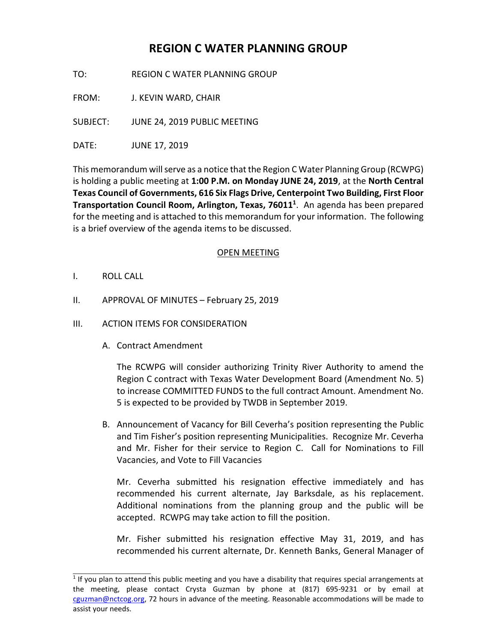# **REGION C WATER PLANNING GROUP**

TO: REGION C WATER PLANNING GROUP

FROM: J. KEVIN WARD, CHAIR

SUBJECT: JUNE 24, 2019 PUBLIC MEETING

DATE: JUNE 17, 2019

This memorandum will serve as a notice that the Region C Water Planning Group (RCWPG) is holding a public meeting at **1:00 P.M. on Monday JUNE 24, 2019**, at the **North Central Texas Council of Governments, 616 Six Flags Drive, Centerpoint Two Building, First Floor Transportation Council Room, Arlington, Texas, 76011 1** . An agenda has been prepared for the meeting and is attached to this memorandum for your information. The following is a brief overview of the agenda items to be discussed.

## OPEN MEETING

I. ROLL CALL

 $\_$ 

- II. APPROVAL OF MINUTES February 25, 2019
- III. ACTION ITEMS FOR CONSIDERATION
	- A. Contract Amendment

The RCWPG will consider authorizing Trinity River Authority to amend the Region C contract with Texas Water Development Board (Amendment No. 5) to increase COMMITTED FUNDS to the full contract Amount. Amendment No. 5 is expected to be provided by TWDB in September 2019.

B. Announcement of Vacancy for Bill Ceverha's position representing the Public and Tim Fisher's position representing Municipalities. Recognize Mr. Ceverha and Mr. Fisher for their service to Region C. Call for Nominations to Fill Vacancies, and Vote to Fill Vacancies

Mr. Ceverha submitted his resignation effective immediately and has recommended his current alternate, Jay Barksdale, as his replacement. Additional nominations from the planning group and the public will be accepted. RCWPG may take action to fill the position.

Mr. Fisher submitted his resignation effective May 31, 2019, and has recommended his current alternate, Dr. Kenneth Banks, General Manager of

<sup>&</sup>lt;sup>1</sup> If you plan to attend this public meeting and you have a disability that requires special arrangements at the meeting, please contact Crysta Guzman by phone at (817) 695-9231 or by email at cguzman@nctcog.org, 72 hours in advance of the meeting. Reasonable accommodations will be made to assist your needs.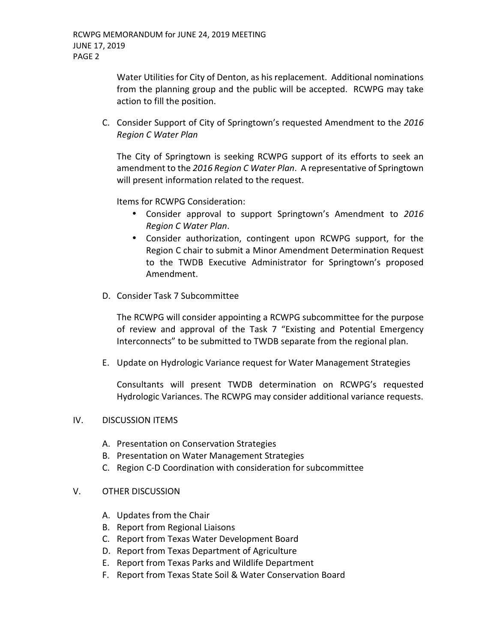Water Utilities for City of Denton, as his replacement. Additional nominations from the planning group and the public will be accepted. RCWPG may take action to fill the position.

C. Consider Support of City of Springtown's requested Amendment to the *2016 Region C Water Plan*

The City of Springtown is seeking RCWPG support of its efforts to seek an amendment to the *2016 Region C Water Plan*. A representative of Springtown will present information related to the request.

Items for RCWPG Consideration:

- Consider approval to support Springtown's Amendment to *2016 Region C Water Plan*.
- Consider authorization, contingent upon RCWPG support, for the Region C chair to submit a Minor Amendment Determination Request to the TWDB Executive Administrator for Springtown's proposed Amendment.
- D. Consider Task 7 Subcommittee

The RCWPG will consider appointing a RCWPG subcommittee for the purpose of review and approval of the Task 7 "Existing and Potential Emergency Interconnects" to be submitted to TWDB separate from the regional plan.

E. Update on Hydrologic Variance request for Water Management Strategies

Consultants will present TWDB determination on RCWPG's requested Hydrologic Variances. The RCWPG may consider additional variance requests.

## IV. DISCUSSION ITEMS

- A. Presentation on Conservation Strategies
- B. Presentation on Water Management Strategies
- C. Region C-D Coordination with consideration for subcommittee

## V. OTHER DISCUSSION

- A. Updates from the Chair
- B. Report from Regional Liaisons
- C. Report from Texas Water Development Board
- D. Report from Texas Department of Agriculture
- E. Report from Texas Parks and Wildlife Department
- F. Report from Texas State Soil & Water Conservation Board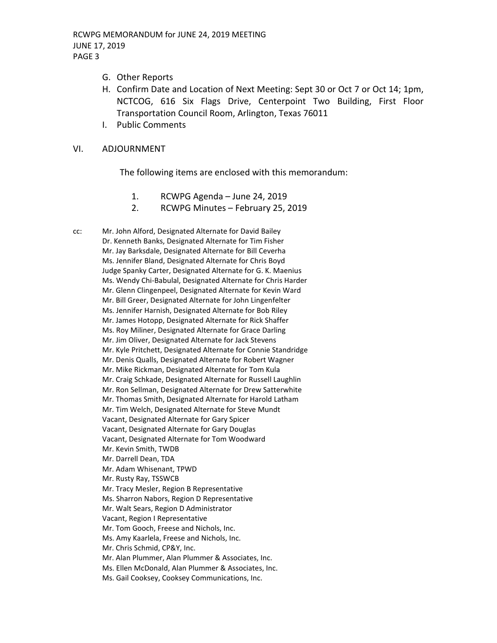- G. Other Reports
- H. Confirm Date and Location of Next Meeting: Sept 30 or Oct 7 or Oct 14; 1pm, NCTCOG, 616 Six Flags Drive, Centerpoint Two Building, First Floor Transportation Council Room, Arlington, Texas 76011
- I. Public Comments

### VI. ADJOURNMENT

The following items are enclosed with this memorandum:

- 1. RCWPG Agenda June 24, 2019
- 2. RCWPG Minutes February 25, 2019

cc: Mr. John Alford, Designated Alternate for David Bailey Dr. Kenneth Banks, Designated Alternate for Tim Fisher Mr. Jay Barksdale, Designated Alternate for Bill Ceverha Ms. Jennifer Bland, Designated Alternate for Chris Boyd Judge Spanky Carter, Designated Alternate for G. K. Maenius Ms. Wendy Chi-Babulal, Designated Alternate for Chris Harder Mr. Glenn Clingenpeel, Designated Alternate for Kevin Ward Mr. Bill Greer, Designated Alternate for John Lingenfelter Ms. Jennifer Harnish, Designated Alternate for Bob Riley Mr. James Hotopp, Designated Alternate for Rick Shaffer Ms. Roy Miliner, Designated Alternate for Grace Darling Mr. Jim Oliver, Designated Alternate for Jack Stevens Mr. Kyle Pritchett, Designated Alternate for Connie Standridge Mr. Denis Qualls, Designated Alternate for Robert Wagner Mr. Mike Rickman, Designated Alternate for Tom Kula Mr. Craig Schkade, Designated Alternate for Russell Laughlin Mr. Ron Sellman, Designated Alternate for Drew Satterwhite Mr. Thomas Smith, Designated Alternate for Harold Latham Mr. Tim Welch, Designated Alternate for Steve Mundt Vacant, Designated Alternate for Gary Spicer Vacant, Designated Alternate for Gary Douglas Vacant, Designated Alternate for Tom Woodward Mr. Kevin Smith, TWDB Mr. Darrell Dean, TDA Mr. Adam Whisenant, TPWD Mr. Rusty Ray, TSSWCB Mr. Tracy Mesler, Region B Representative Ms. Sharron Nabors, Region D Representative Mr. Walt Sears, Region D Administrator Vacant, Region I Representative Mr. Tom Gooch, Freese and Nichols, Inc. Ms. Amy Kaarlela, Freese and Nichols, Inc. Mr. Chris Schmid, CP&Y, Inc. Mr. Alan Plummer, Alan Plummer & Associates, Inc. Ms. Ellen McDonald, Alan Plummer & Associates, Inc. Ms. Gail Cooksey, Cooksey Communications, Inc.